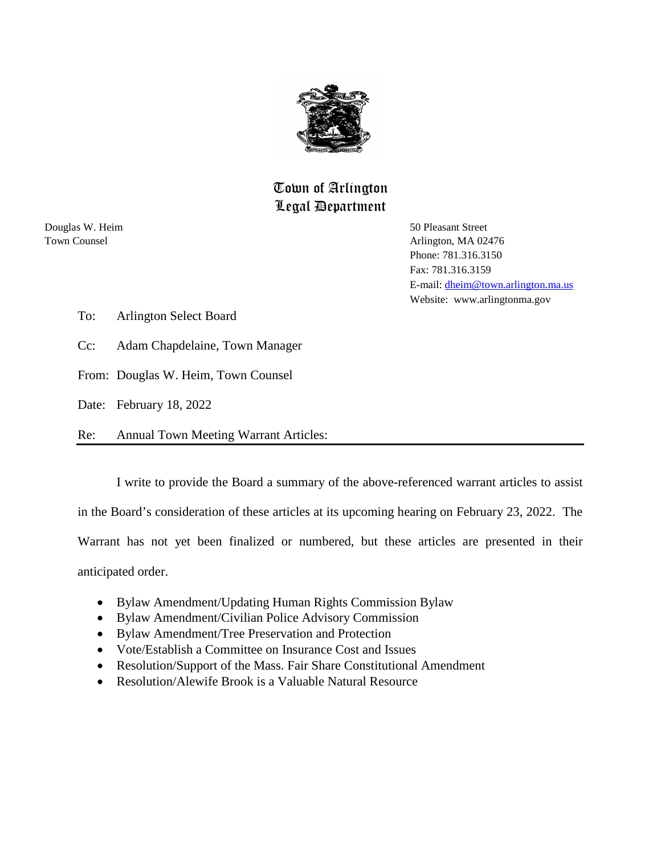

# Town of Arlington Legal Department

Douglas W. Heim 50 Pleasant Street

Town Counsel **The Counsel Arlington**, MA 02476 Phone: 781.316.3150 Fax: 781.316.3159 E-mail: [dheim@town.arlington.ma.us](mailto:dheim@town.arlington.ma.us) Website: www.arlingtonma.gov

- To: Arlington Select Board
- Cc: Adam Chapdelaine, Town Manager
- From: Douglas W. Heim, Town Counsel
- Date: February 18, 2022
- Re: Annual Town Meeting Warrant Articles:

I write to provide the Board a summary of the above-referenced warrant articles to assist

in the Board's consideration of these articles at its upcoming hearing on February 23, 2022. The

Warrant has not yet been finalized or numbered, but these articles are presented in their

anticipated order.

- Bylaw Amendment/Updating Human Rights Commission Bylaw
- Bylaw Amendment/Civilian Police Advisory Commission
- Bylaw Amendment/Tree Preservation and Protection
- Vote/Establish a Committee on Insurance Cost and Issues
- Resolution/Support of the Mass. Fair Share Constitutional Amendment
- Resolution/Alewife Brook is a Valuable Natural Resource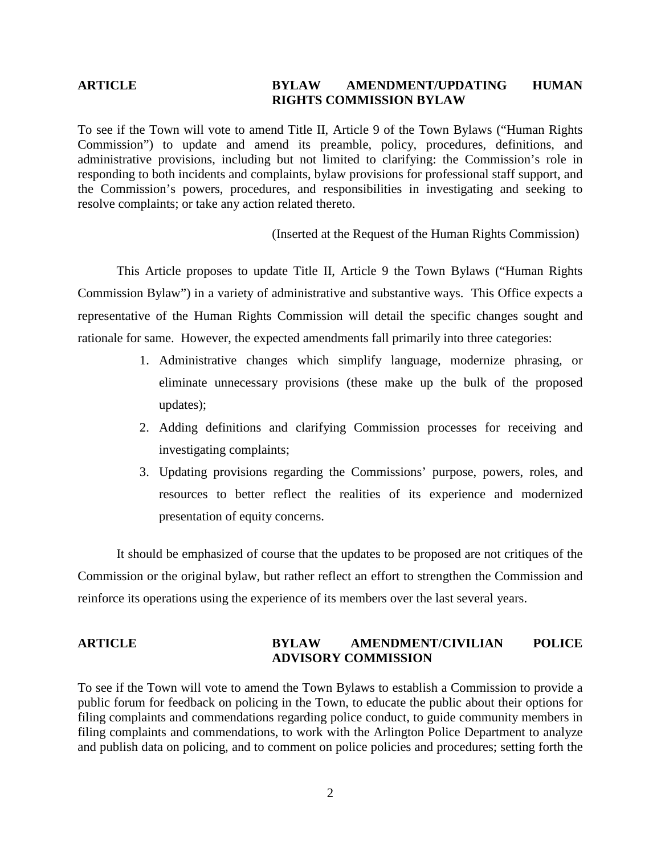# **ARTICLE BYLAW AMENDMENT/UPDATING HUMAN RIGHTS COMMISSION BYLAW**

To see if the Town will vote to amend Title II, Article 9 of the Town Bylaws ("Human Rights Commission") to update and amend its preamble, policy, procedures, definitions, and administrative provisions, including but not limited to clarifying: the Commission's role in responding to both incidents and complaints, bylaw provisions for professional staff support, and the Commission's powers, procedures, and responsibilities in investigating and seeking to resolve complaints; or take any action related thereto.

(Inserted at the Request of the Human Rights Commission)

This Article proposes to update Title II, Article 9 the Town Bylaws ("Human Rights Commission Bylaw") in a variety of administrative and substantive ways. This Office expects a representative of the Human Rights Commission will detail the specific changes sought and rationale for same. However, the expected amendments fall primarily into three categories:

- 1. Administrative changes which simplify language, modernize phrasing, or eliminate unnecessary provisions (these make up the bulk of the proposed updates);
- 2. Adding definitions and clarifying Commission processes for receiving and investigating complaints;
- 3. Updating provisions regarding the Commissions' purpose, powers, roles, and resources to better reflect the realities of its experience and modernized presentation of equity concerns.

It should be emphasized of course that the updates to be proposed are not critiques of the Commission or the original bylaw, but rather reflect an effort to strengthen the Commission and reinforce its operations using the experience of its members over the last several years.

### **ARTICLE BYLAW AMENDMENT/CIVILIAN POLICE ADVISORY COMMISSION**

To see if the Town will vote to amend the Town Bylaws to establish a Commission to provide a public forum for feedback on policing in the Town, to educate the public about their options for filing complaints and commendations regarding police conduct, to guide community members in filing complaints and commendations, to work with the Arlington Police Department to analyze and publish data on policing, and to comment on police policies and procedures; setting forth the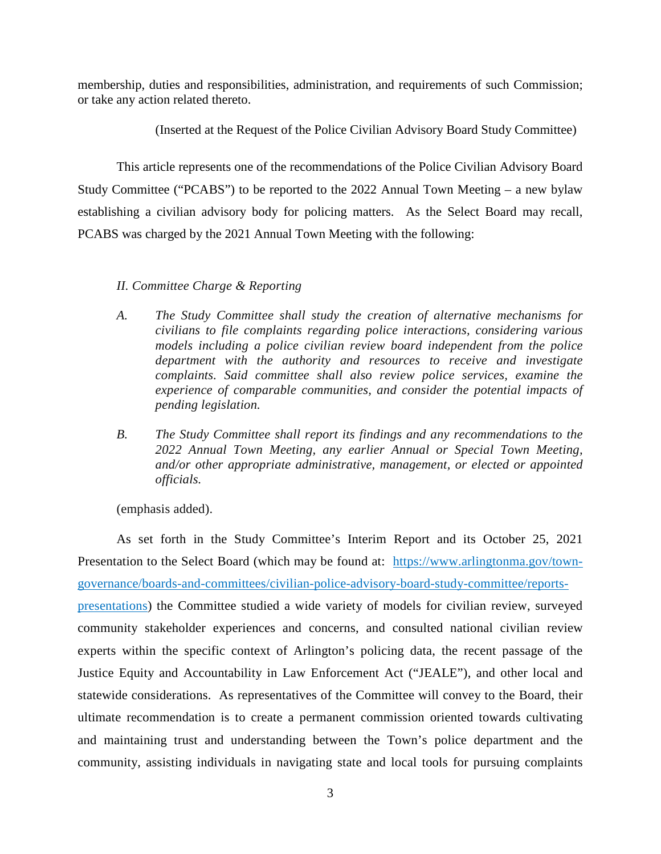membership, duties and responsibilities, administration, and requirements of such Commission; or take any action related thereto.

(Inserted at the Request of the Police Civilian Advisory Board Study Committee)

This article represents one of the recommendations of the Police Civilian Advisory Board Study Committee ("PCABS") to be reported to the 2022 Annual Town Meeting – a new bylaw establishing a civilian advisory body for policing matters. As the Select Board may recall, PCABS was charged by the 2021 Annual Town Meeting with the following:

### *II. Committee Charge & Reporting*

- *A. The Study Committee shall study the creation of alternative mechanisms for civilians to file complaints regarding police interactions, considering various models including a police civilian review board independent from the police department with the authority and resources to receive and investigate complaints. Said committee shall also review police services, examine the experience of comparable communities, and consider the potential impacts of pending legislation.*
- *B. The Study Committee shall report its findings and any recommendations to the 2022 Annual Town Meeting, any earlier Annual or Special Town Meeting, and/or other appropriate administrative, management, or elected or appointed officials.*

(emphasis added).

As set forth in the Study Committee's Interim Report and its October 25, 2021 Presentation to the Select Board (which may be found at: [https://www.arlingtonma.gov/town](https://www.arlingtonma.gov/town-governance/boards-and-committees/civilian-police-advisory-board-study-committee/reports-presentations)[governance/boards-and-committees/civilian-police-advisory-board-study-committee/reports](https://www.arlingtonma.gov/town-governance/boards-and-committees/civilian-police-advisory-board-study-committee/reports-presentations)[presentations\)](https://www.arlingtonma.gov/town-governance/boards-and-committees/civilian-police-advisory-board-study-committee/reports-presentations) the Committee studied a wide variety of models for civilian review, surveyed community stakeholder experiences and concerns, and consulted national civilian review experts within the specific context of Arlington's policing data, the recent passage of the Justice Equity and Accountability in Law Enforcement Act ("JEALE"), and other local and statewide considerations. As representatives of the Committee will convey to the Board, their ultimate recommendation is to create a permanent commission oriented towards cultivating and maintaining trust and understanding between the Town's police department and the community, assisting individuals in navigating state and local tools for pursuing complaints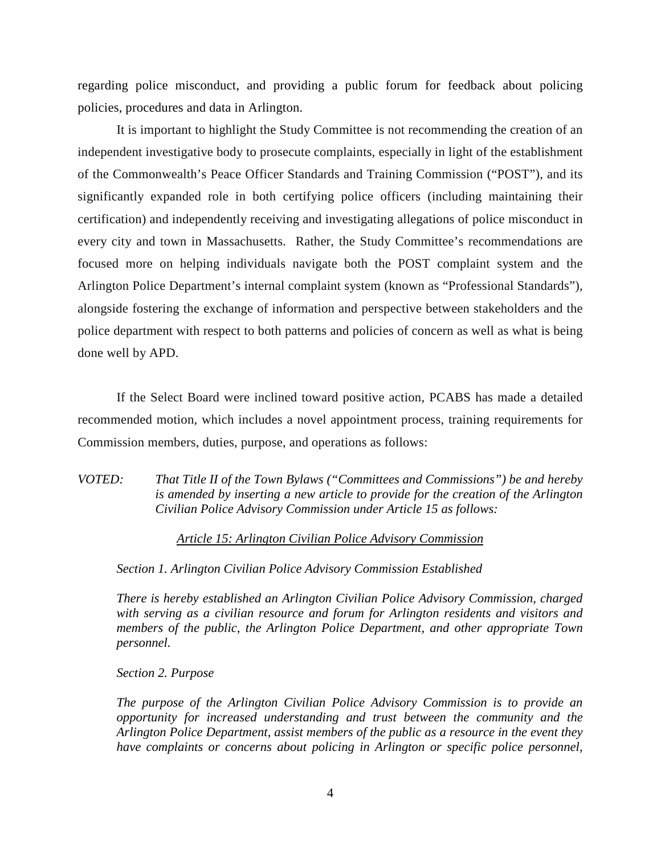regarding police misconduct, and providing a public forum for feedback about policing policies, procedures and data in Arlington.

It is important to highlight the Study Committee is not recommending the creation of an independent investigative body to prosecute complaints, especially in light of the establishment of the Commonwealth's Peace Officer Standards and Training Commission ("POST"), and its significantly expanded role in both certifying police officers (including maintaining their certification) and independently receiving and investigating allegations of police misconduct in every city and town in Massachusetts. Rather, the Study Committee's recommendations are focused more on helping individuals navigate both the POST complaint system and the Arlington Police Department's internal complaint system (known as "Professional Standards"), alongside fostering the exchange of information and perspective between stakeholders and the police department with respect to both patterns and policies of concern as well as what is being done well by APD.

If the Select Board were inclined toward positive action, PCABS has made a detailed recommended motion, which includes a novel appointment process, training requirements for Commission members, duties, purpose, and operations as follows:

*VOTED: That Title II of the Town Bylaws ("Committees and Commissions") be and hereby is amended by inserting a new article to provide for the creation of the Arlington Civilian Police Advisory Commission under Article 15 as follows:* 

### *Article 15: Arlington Civilian Police Advisory Commission*

*Section 1. Arlington Civilian Police Advisory Commission Established* 

*There is hereby established an Arlington Civilian Police Advisory Commission, charged with serving as a civilian resource and forum for Arlington residents and visitors and members of the public, the Arlington Police Department, and other appropriate Town personnel.* 

*Section 2. Purpose* 

*The purpose of the Arlington Civilian Police Advisory Commission is to provide an opportunity for increased understanding and trust between the community and the Arlington Police Department, assist members of the public as a resource in the event they have complaints or concerns about policing in Arlington or specific police personnel,*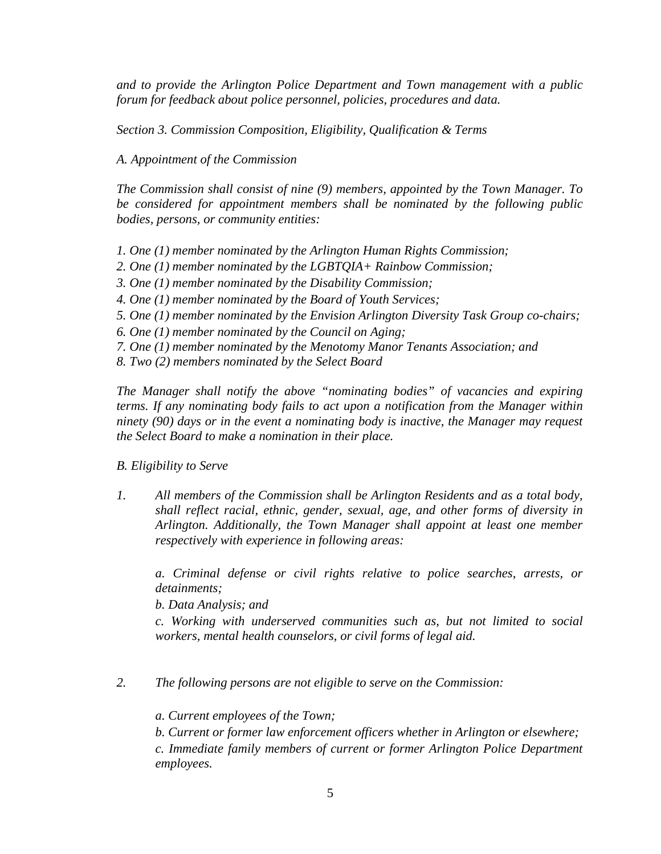*and to provide the Arlington Police Department and Town management with a public forum for feedback about police personnel, policies, procedures and data.* 

*Section 3. Commission Composition, Eligibility, Qualification & Terms* 

*A. Appointment of the Commission* 

*The Commission shall consist of nine (9) members, appointed by the Town Manager. To be considered for appointment members shall be nominated by the following public bodies, persons, or community entities:* 

- *1. One (1) member nominated by the Arlington Human Rights Commission;*
- *2. One (1) member nominated by the LGBTQIA+ Rainbow Commission;*
- *3. One (1) member nominated by the Disability Commission;*
- *4. One (1) member nominated by the Board of Youth Services;*
- *5. One (1) member nominated by the Envision Arlington Diversity Task Group co-chairs;*
- *6. One (1) member nominated by the Council on Aging;*
- *7. One (1) member nominated by the Menotomy Manor Tenants Association; and*
- *8. Two (2) members nominated by the Select Board*

*The Manager shall notify the above "nominating bodies" of vacancies and expiring terms. If any nominating body fails to act upon a notification from the Manager within ninety (90) days or in the event a nominating body is inactive, the Manager may request the Select Board to make a nomination in their place.* 

*B. Eligibility to Serve* 

*1. All members of the Commission shall be Arlington Residents and as a total body, shall reflect racial, ethnic, gender, sexual, age, and other forms of diversity in Arlington. Additionally, the Town Manager shall appoint at least one member respectively with experience in following areas:* 

*a. Criminal defense or civil rights relative to police searches, arrests, or detainments;* 

*b. Data Analysis; and* 

*c. Working with underserved communities such as, but not limited to social workers, mental health counselors, or civil forms of legal aid.* 

*2. The following persons are not eligible to serve on the Commission:* 

*a. Current employees of the Town;* 

*b. Current or former law enforcement officers whether in Arlington or elsewhere;*

*c. Immediate family members of current or former Arlington Police Department employees.*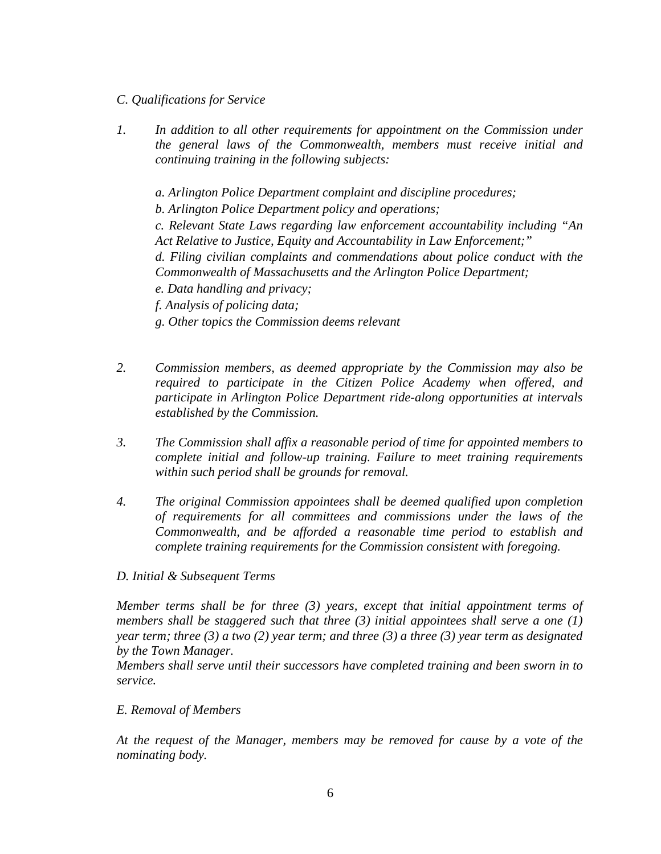### *C. Qualifications for Service*

*1. In addition to all other requirements for appointment on the Commission under the general laws of the Commonwealth, members must receive initial and continuing training in the following subjects:* 

*a. Arlington Police Department complaint and discipline procedures;* 

*b. Arlington Police Department policy and operations;* 

*c. Relevant State Laws regarding law enforcement accountability including "An Act Relative to Justice, Equity and Accountability in Law Enforcement;"* 

*d. Filing civilian complaints and commendations about police conduct with the Commonwealth of Massachusetts and the Arlington Police Department;* 

- *e. Data handling and privacy;*
- *f. Analysis of policing data;*
- *g. Other topics the Commission deems relevant*
- *2. Commission members, as deemed appropriate by the Commission may also be required to participate in the Citizen Police Academy when offered, and participate in Arlington Police Department ride-along opportunities at intervals established by the Commission.*
- *3. The Commission shall affix a reasonable period of time for appointed members to complete initial and follow-up training. Failure to meet training requirements within such period shall be grounds for removal.*
- *4. The original Commission appointees shall be deemed qualified upon completion of requirements for all committees and commissions under the laws of the Commonwealth, and be afforded a reasonable time period to establish and complete training requirements for the Commission consistent with foregoing.*

### *D. Initial & Subsequent Terms*

*Member terms shall be for three (3) years, except that initial appointment terms of members shall be staggered such that three (3) initial appointees shall serve a one (1) year term; three (3) a two (2) year term; and three (3) a three (3) year term as designated by the Town Manager.* 

*Members shall serve until their successors have completed training and been sworn in to service.* 

### *E. Removal of Members*

*At the request of the Manager, members may be removed for cause by a vote of the nominating body.*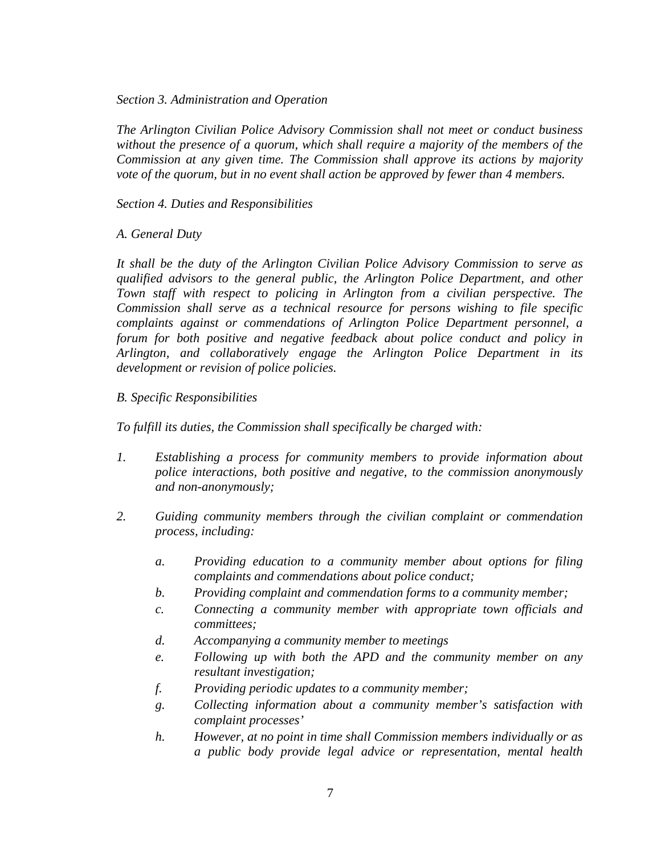*Section 3. Administration and Operation* 

*The Arlington Civilian Police Advisory Commission shall not meet or conduct business without the presence of a quorum, which shall require a majority of the members of the Commission at any given time. The Commission shall approve its actions by majority vote of the quorum, but in no event shall action be approved by fewer than 4 members.* 

*Section 4. Duties and Responsibilities* 

### *A. General Duty*

*It shall be the duty of the Arlington Civilian Police Advisory Commission to serve as qualified advisors to the general public, the Arlington Police Department, and other Town staff with respect to policing in Arlington from a civilian perspective. The Commission shall serve as a technical resource for persons wishing to file specific complaints against or commendations of Arlington Police Department personnel, a forum for both positive and negative feedback about police conduct and policy in Arlington, and collaboratively engage the Arlington Police Department in its development or revision of police policies.* 

### *B. Specific Responsibilities*

*To fulfill its duties, the Commission shall specifically be charged with:* 

- *1. Establishing a process for community members to provide information about police interactions, both positive and negative, to the commission anonymously and non-anonymously;*
- *2. Guiding community members through the civilian complaint or commendation process, including:* 
	- *a. Providing education to a community member about options for filing complaints and commendations about police conduct;*
	- *b. Providing complaint and commendation forms to a community member;*
	- *c. Connecting a community member with appropriate town officials and committees;*
	- *d. Accompanying a community member to meetings*
	- *e. Following up with both the APD and the community member on any resultant investigation;*
	- *f. Providing periodic updates to a community member;*
	- *g. Collecting information about a community member's satisfaction with complaint processes'*
	- *h. However, at no point in time shall Commission members individually or as a public body provide legal advice or representation, mental health*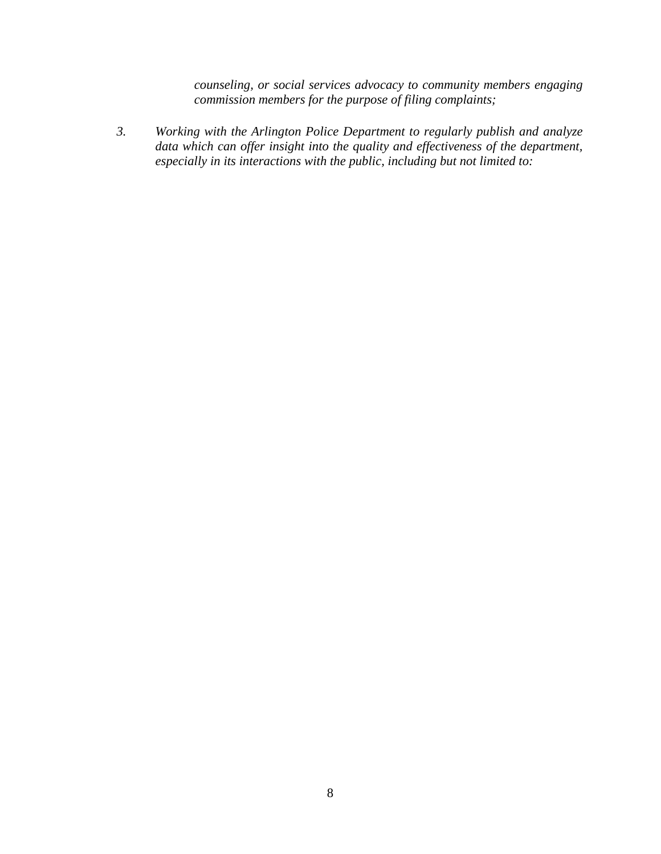*counseling, or social services advocacy to community members engaging commission members for the purpose of filing complaints;* 

*3. Working with the Arlington Police Department to regularly publish and analyze data which can offer insight into the quality and effectiveness of the department, especially in its interactions with the public, including but not limited to:*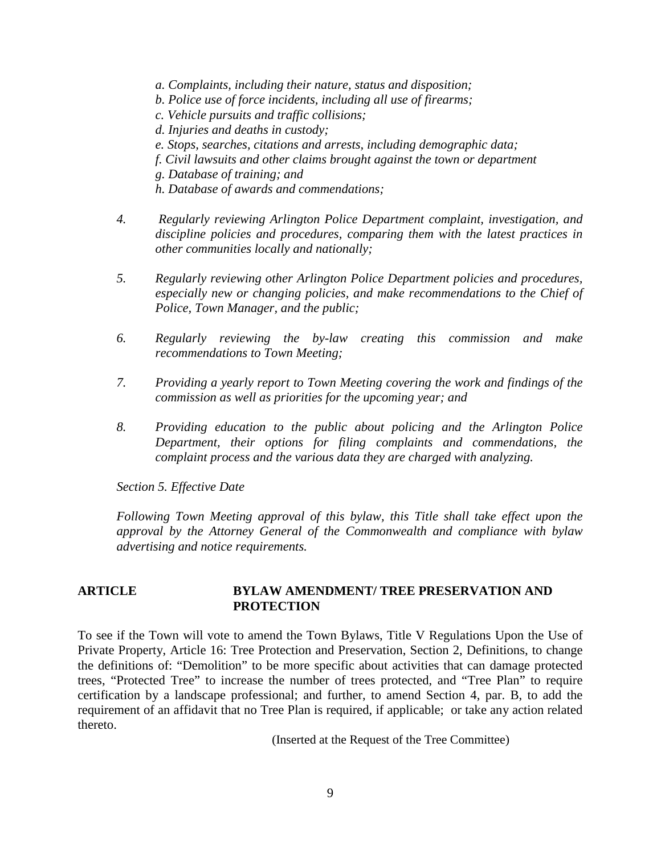*a. Complaints, including their nature, status and disposition;* 

- *b. Police use of force incidents, including all use of firearms;*
- *c. Vehicle pursuits and traffic collisions;*
- *d. Injuries and deaths in custody;*
- *e. Stops, searches, citations and arrests, including demographic data;*
- *f. Civil lawsuits and other claims brought against the town or department*
- *g. Database of training; and*
- *h. Database of awards and commendations;*
- *4. Regularly reviewing Arlington Police Department complaint, investigation, and discipline policies and procedures, comparing them with the latest practices in other communities locally and nationally;*
- *5. Regularly reviewing other Arlington Police Department policies and procedures, especially new or changing policies, and make recommendations to the Chief of Police, Town Manager, and the public;*
- *6. Regularly reviewing the by-law creating this commission and make recommendations to Town Meeting;*
- *7. Providing a yearly report to Town Meeting covering the work and findings of the commission as well as priorities for the upcoming year; and*
- *8. Providing education to the public about policing and the Arlington Police Department, their options for filing complaints and commendations, the complaint process and the various data they are charged with analyzing.*

*Section 5. Effective Date* 

*Following Town Meeting approval of this bylaw, this Title shall take effect upon the approval by the Attorney General of the Commonwealth and compliance with bylaw advertising and notice requirements.*

### **ARTICLE BYLAW AMENDMENT/ TREE PRESERVATION AND PROTECTION**

To see if the Town will vote to amend the Town Bylaws, Title V Regulations Upon the Use of Private Property, Article 16: Tree Protection and Preservation, Section 2, Definitions, to change the definitions of: "Demolition" to be more specific about activities that can damage protected trees, "Protected Tree" to increase the number of trees protected, and "Tree Plan" to require certification by a landscape professional; and further, to amend Section 4, par. B, to add the requirement of an affidavit that no Tree Plan is required, if applicable; or take any action related thereto.

(Inserted at the Request of the Tree Committee)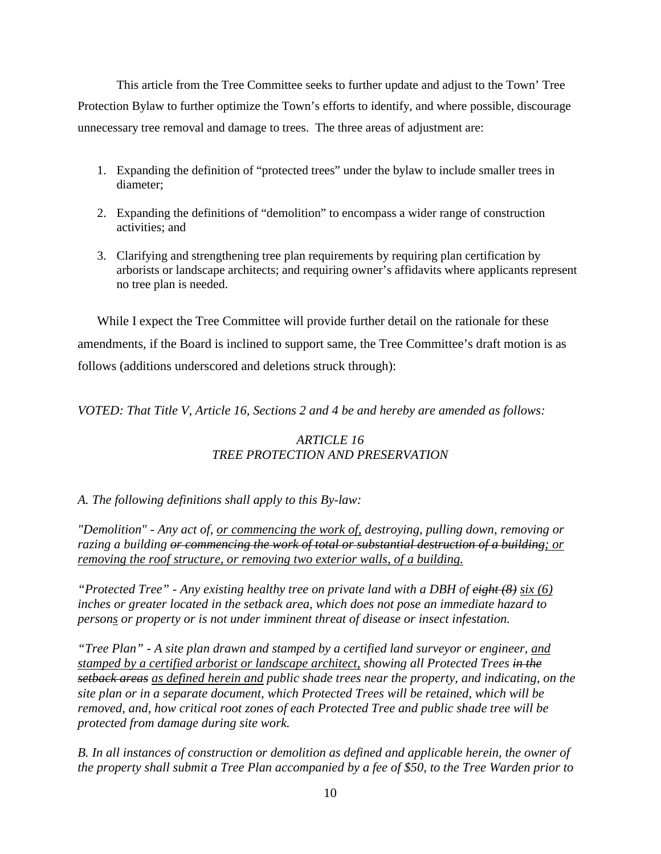This article from the Tree Committee seeks to further update and adjust to the Town' Tree Protection Bylaw to further optimize the Town's efforts to identify, and where possible, discourage unnecessary tree removal and damage to trees. The three areas of adjustment are:

- 1. Expanding the definition of "protected trees" under the bylaw to include smaller trees in diameter;
- 2. Expanding the definitions of "demolition" to encompass a wider range of construction activities; and
- 3. Clarifying and strengthening tree plan requirements by requiring plan certification by arborists or landscape architects; and requiring owner's affidavits where applicants represent no tree plan is needed.

While I expect the Tree Committee will provide further detail on the rationale for these amendments, if the Board is inclined to support same, the Tree Committee's draft motion is as follows (additions underscored and deletions struck through):

*VOTED: That Title V, Article 16, Sections 2 and 4 be and hereby are amended as follows:*

# *ARTICLE 16 TREE PROTECTION AND PRESERVATION*

# *A. The following definitions shall apply to this By-law:*

*"Demolition" - Any act of, or commencing the work of, destroying, pulling down, removing or razing a building or commencing the work of total or substantial destruction of a building; or removing the roof structure, or removing two exterior walls, of a building.*

*"Protected Tree" - Any existing healthy tree on private land with a DBH of eight (8) six (6) inches or greater located in the setback area, which does not pose an immediate hazard to persons or property or is not under imminent threat of disease or insect infestation.* 

*"Tree Plan" - A site plan drawn and stamped by a certified land surveyor or engineer, and stamped by a certified arborist or landscape architect, showing all Protected Trees in the setback areas as defined herein and public shade trees near the property, and indicating, on the site plan or in a separate document, which Protected Trees will be retained, which will be removed, and, how critical root zones of each Protected Tree and public shade tree will be protected from damage during site work.*

*B. In all instances of construction or demolition as defined and applicable herein, the owner of the property shall submit a Tree Plan accompanied by a fee of \$50, to the Tree Warden prior to*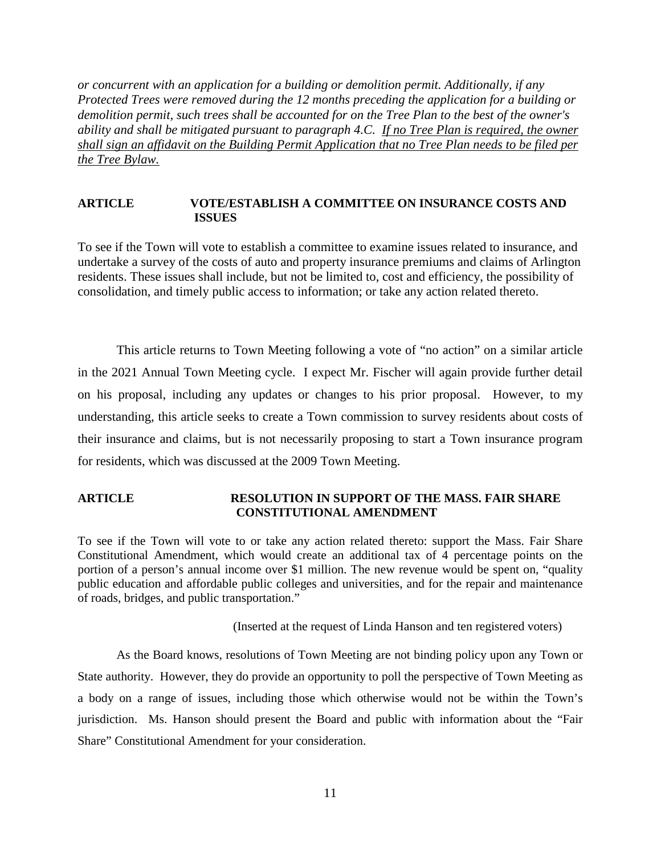*or concurrent with an application for a building or demolition permit. Additionally, if any Protected Trees were removed during the 12 months preceding the application for a building or demolition permit, such trees shall be accounted for on the Tree Plan to the best of the owner's ability and shall be mitigated pursuant to paragraph 4.C. If no Tree Plan is required, the owner shall sign an affidavit on the Building Permit Application that no Tree Plan needs to be filed per the Tree Bylaw.*

#### **ARTICLE VOTE/ESTABLISH A COMMITTEE ON INSURANCE COSTS AND ISSUES**

To see if the Town will vote to establish a committee to examine issues related to insurance, and undertake a survey of the costs of auto and property insurance premiums and claims of Arlington residents. These issues shall include, but not be limited to, cost and efficiency, the possibility of consolidation, and timely public access to information; or take any action related thereto.

This article returns to Town Meeting following a vote of "no action" on a similar article in the 2021 Annual Town Meeting cycle. I expect Mr. Fischer will again provide further detail on his proposal, including any updates or changes to his prior proposal. However, to my understanding, this article seeks to create a Town commission to survey residents about costs of their insurance and claims, but is not necessarily proposing to start a Town insurance program for residents, which was discussed at the 2009 Town Meeting.

### **ARTICLE RESOLUTION IN SUPPORT OF THE MASS. FAIR SHARE CONSTITUTIONAL AMENDMENT**

To see if the Town will vote to or take any action related thereto: support the Mass. Fair Share Constitutional Amendment, which would create an additional tax of 4 percentage points on the portion of a person's annual income over \$1 million. The new revenue would be spent on, "quality public education and affordable public colleges and universities, and for the repair and maintenance of roads, bridges, and public transportation."

(Inserted at the request of Linda Hanson and ten registered voters)

As the Board knows, resolutions of Town Meeting are not binding policy upon any Town or State authority. However, they do provide an opportunity to poll the perspective of Town Meeting as a body on a range of issues, including those which otherwise would not be within the Town's jurisdiction. Ms. Hanson should present the Board and public with information about the "Fair Share" Constitutional Amendment for your consideration.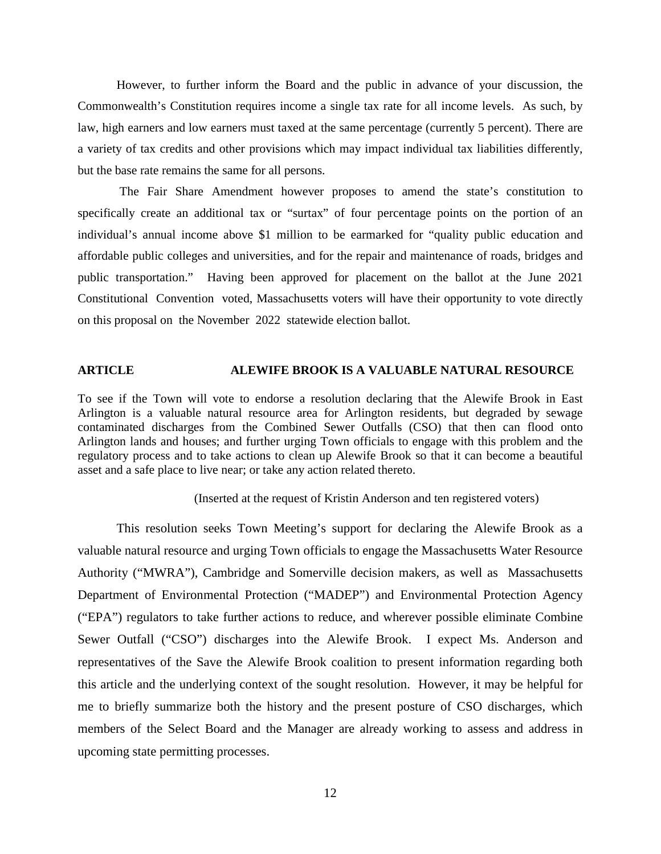However, to further inform the Board and the public in advance of your discussion, the Commonwealth's Constitution requires income a single tax rate for all income levels. As such, by law, high earners and low earners must taxed at the same percentage (currently 5 percent). There are a variety of tax credits and other provisions which may impact individual tax liabilities differently, but the base rate remains the same for all persons.

The Fair Share Amendment however proposes to amend the state's constitution to specifically create an additional tax or "surtax" of four percentage points on the portion of an individual's annual income above \$1 million to be earmarked for "quality public education and affordable public colleges and universities, and for the repair and maintenance of roads, bridges and public transportation." Having been approved for placement on the ballot at the June 2021 Constitutional Convention voted, Massachusetts voters will have their opportunity to vote directly on this proposal on the November 2022 statewide election ballot.

### **ARTICLE ALEWIFE BROOK IS A VALUABLE NATURAL RESOURCE**

To see if the Town will vote to endorse a resolution declaring that the Alewife Brook in East Arlington is a valuable natural resource area for Arlington residents, but degraded by sewage contaminated discharges from the Combined Sewer Outfalls (CSO) that then can flood onto Arlington lands and houses; and further urging Town officials to engage with this problem and the regulatory process and to take actions to clean up Alewife Brook so that it can become a beautiful asset and a safe place to live near; or take any action related thereto.

(Inserted at the request of Kristin Anderson and ten registered voters)

This resolution seeks Town Meeting's support for declaring the Alewife Brook as a valuable natural resource and urging Town officials to engage the Massachusetts Water Resource Authority ("MWRA"), Cambridge and Somerville decision makers, as well as Massachusetts Department of Environmental Protection ("MADEP") and Environmental Protection Agency ("EPA") regulators to take further actions to reduce, and wherever possible eliminate Combine Sewer Outfall ("CSO") discharges into the Alewife Brook. I expect Ms. Anderson and representatives of the Save the Alewife Brook coalition to present information regarding both this article and the underlying context of the sought resolution. However, it may be helpful for me to briefly summarize both the history and the present posture of CSO discharges, which members of the Select Board and the Manager are already working to assess and address in upcoming state permitting processes.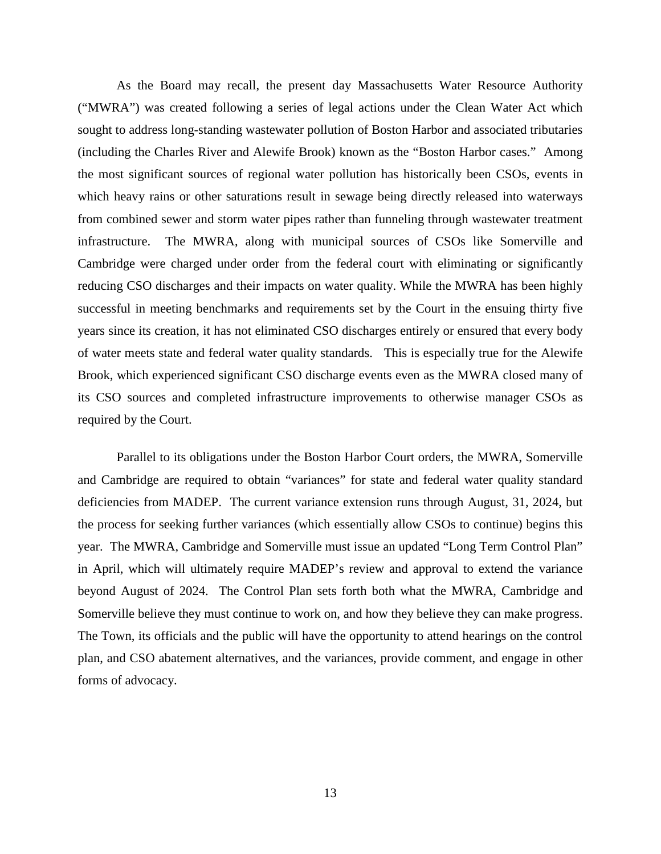As the Board may recall, the present day Massachusetts Water Resource Authority ("MWRA") was created following a series of legal actions under the Clean Water Act which sought to address long-standing wastewater pollution of Boston Harbor and associated tributaries (including the Charles River and Alewife Brook) known as the "Boston Harbor cases." Among the most significant sources of regional water pollution has historically been CSOs, events in which heavy rains or other saturations result in sewage being directly released into waterways from combined sewer and storm water pipes rather than funneling through wastewater treatment infrastructure. The MWRA, along with municipal sources of CSOs like Somerville and Cambridge were charged under order from the federal court with eliminating or significantly reducing CSO discharges and their impacts on water quality. While the MWRA has been highly successful in meeting benchmarks and requirements set by the Court in the ensuing thirty five years since its creation, it has not eliminated CSO discharges entirely or ensured that every body of water meets state and federal water quality standards. This is especially true for the Alewife Brook, which experienced significant CSO discharge events even as the MWRA closed many of its CSO sources and completed infrastructure improvements to otherwise manager CSOs as required by the Court.

Parallel to its obligations under the Boston Harbor Court orders, the MWRA, Somerville and Cambridge are required to obtain "variances" for state and federal water quality standard deficiencies from MADEP. The current variance extension runs through August, 31, 2024, but the process for seeking further variances (which essentially allow CSOs to continue) begins this year. The MWRA, Cambridge and Somerville must issue an updated "Long Term Control Plan" in April, which will ultimately require MADEP's review and approval to extend the variance beyond August of 2024. The Control Plan sets forth both what the MWRA, Cambridge and Somerville believe they must continue to work on, and how they believe they can make progress. The Town, its officials and the public will have the opportunity to attend hearings on the control plan, and CSO abatement alternatives, and the variances, provide comment, and engage in other forms of advocacy.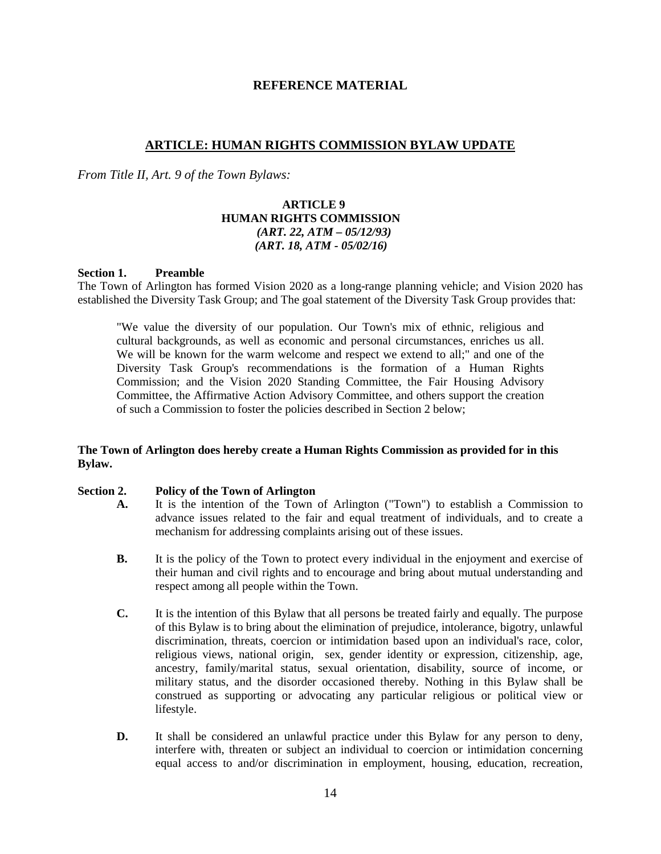### **REFERENCE MATERIAL**

### **ARTICLE: HUMAN RIGHTS COMMISSION BYLAW UPDATE**

*From Title II, Art. 9 of the Town Bylaws:*

### **ARTICLE 9 HUMAN RIGHTS COMMISSION**  *(ART. 22, ATM – 05/12/93) (ART. 18, ATM - 05/02/16)*

#### **Section 1. Preamble**

The Town of Arlington has formed Vision 2020 as a long-range planning vehicle; and Vision 2020 has established the Diversity Task Group; and The goal statement of the Diversity Task Group provides that:

"We value the diversity of our population. Our Town's mix of ethnic, religious and cultural backgrounds, as well as economic and personal circumstances, enriches us all. We will be known for the warm welcome and respect we extend to all;" and one of the Diversity Task Group's recommendations is the formation of a Human Rights Commission; and the Vision 2020 Standing Committee, the Fair Housing Advisory Committee, the Affirmative Action Advisory Committee, and others support the creation of such a Commission to foster the policies described in Section 2 below;

#### **The Town of Arlington does hereby create a Human Rights Commission as provided for in this Bylaw.**

#### **Section 2. Policy of the Town of Arlington**

- **A.** It is the intention of the Town of Arlington ("Town") to establish a Commission to advance issues related to the fair and equal treatment of individuals, and to create a mechanism for addressing complaints arising out of these issues.
- **B.** It is the policy of the Town to protect every individual in the enjoyment and exercise of their human and civil rights and to encourage and bring about mutual understanding and respect among all people within the Town.
- **C.** It is the intention of this Bylaw that all persons be treated fairly and equally. The purpose of this Bylaw is to bring about the elimination of prejudice, intolerance, bigotry, unlawful discrimination, threats, coercion or intimidation based upon an individual's race, color, religious views, national origin, sex, gender identity or expression, citizenship, age, ancestry, family/marital status, sexual orientation, disability, source of income, or military status, and the disorder occasioned thereby. Nothing in this Bylaw shall be construed as supporting or advocating any particular religious or political view or lifestyle.
- **D.** It shall be considered an unlawful practice under this Bylaw for any person to deny, interfere with, threaten or subject an individual to coercion or intimidation concerning equal access to and/or discrimination in employment, housing, education, recreation,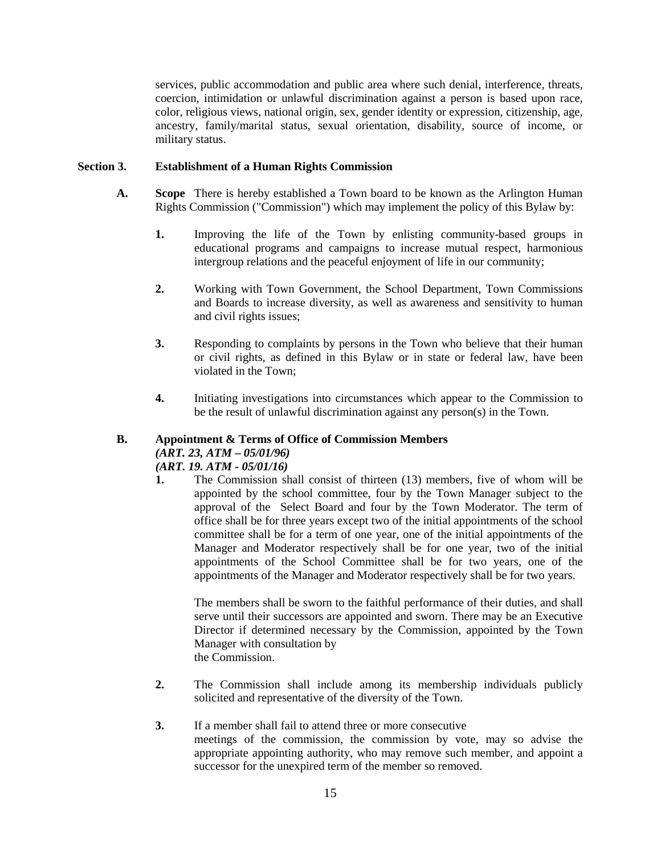services, public accommodation and public area where such denial, interference, threats, coercion, intimidation or unlawful discrimination against a person is based upon race, color, religious views, national origin, sex, gender identity or expression, citizenship, age, ancestry, family/marital status, sexual orientation, disability, source of income, or military status.

### **Section 3. Establishment of a Human Rights Commission**

- **A. Scope** There is hereby established a Town board to be known as the Arlington Human Rights Commission ("Commission") which may implement the policy of this Bylaw by:
	- **1.** Improving the life of the Town by enlisting community-based groups in educational programs and campaigns to increase mutual respect, harmonious intergroup relations and the peaceful enjoyment of life in our community;
	- **2.** Working with Town Government, the School Department, Town Commissions and Boards to increase diversity, as well as awareness and sensitivity to human and civil rights issues;
	- **3.** Responding to complaints by persons in the Town who believe that their human or civil rights, as defined in this Bylaw or in state or federal law, have been violated in the Town;
	- **4.** Initiating investigations into circumstances which appear to the Commission to be the result of unlawful discrimination against any person(s) in the Town.

# **B. Appointment & Terms of Office of Commission Members** *(ART. 23, ATM – 05/01/96)*

### *(ART. 19. ATM - 05/01/16)*

**1.** The Commission shall consist of thirteen (13) members, five of whom will be appointed by the school committee, four by the Town Manager subject to the approval of the Select Board and four by the Town Moderator. The term of office shall be for three years except two of the initial appointments of the school committee shall be for a term of one year, one of the initial appointments of the Manager and Moderator respectively shall be for one year, two of the initial appointments of the School Committee shall be for two years, one of the appointments of the Manager and Moderator respectively shall be for two years.

The members shall be sworn to the faithful performance of their duties, and shall serve until their successors are appointed and sworn. There may be an Executive Director if determined necessary by the Commission, appointed by the Town Manager with consultation by the Commission.

**2.** The Commission shall include among its membership individuals publicly solicited and representative of the diversity of the Town.

#### **3.** If a member shall fail to attend three or more consecutive

meetings of the commission, the commission by vote, may so advise the appropriate appointing authority, who may remove such member, and appoint a successor for the unexpired term of the member so removed.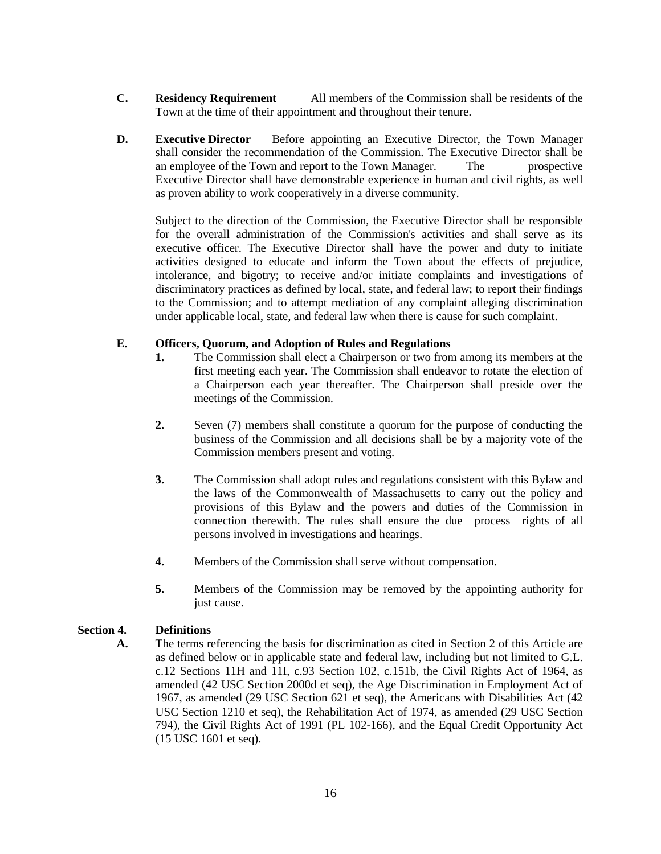- **C. Residency Requirement** All members of the Commission shall be residents of the Town at the time of their appointment and throughout their tenure.
- **D. Executive Director** Before appointing an Executive Director, the Town Manager shall consider the recommendation of the Commission. The Executive Director shall be an employee of the Town and report to the Town Manager. The prospective Executive Director shall have demonstrable experience in human and civil rights, as well as proven ability to work cooperatively in a diverse community.

Subject to the direction of the Commission, the Executive Director shall be responsible for the overall administration of the Commission's activities and shall serve as its executive officer. The Executive Director shall have the power and duty to initiate activities designed to educate and inform the Town about the effects of prejudice, intolerance, and bigotry; to receive and/or initiate complaints and investigations of discriminatory practices as defined by local, state, and federal law; to report their findings to the Commission; and to attempt mediation of any complaint alleging discrimination under applicable local, state, and federal law when there is cause for such complaint.

### **E. Officers, Quorum, and Adoption of Rules and Regulations**

- **1.** The Commission shall elect a Chairperson or two from among its members at the first meeting each year. The Commission shall endeavor to rotate the election of a Chairperson each year thereafter. The Chairperson shall preside over the meetings of the Commission.
- **2.** Seven (7) members shall constitute a quorum for the purpose of conducting the business of the Commission and all decisions shall be by a majority vote of the Commission members present and voting.
- **3.** The Commission shall adopt rules and regulations consistent with this Bylaw and the laws of the Commonwealth of Massachusetts to carry out the policy and provisions of this Bylaw and the powers and duties of the Commission in connection therewith. The rules shall ensure the due process rights of all persons involved in investigations and hearings.
- **4.** Members of the Commission shall serve without compensation.
- **5.** Members of the Commission may be removed by the appointing authority for just cause.

### **Section 4. Definitions**

**A.** The terms referencing the basis for discrimination as cited in Section 2 of this Article are as defined below or in applicable state and federal law, including but not limited to G.L. c.12 Sections 11H and 11I, c.93 Section 102, c.151b, the Civil Rights Act of 1964, as amended (42 USC Section 2000d et seq), the Age Discrimination in Employment Act of 1967, as amended (29 USC Section 621 et seq), the Americans with Disabilities Act (42 USC Section 1210 et seq), the Rehabilitation Act of 1974, as amended (29 USC Section 794), the Civil Rights Act of 1991 (PL 102-166), and the Equal Credit Opportunity Act (15 USC 1601 et seq).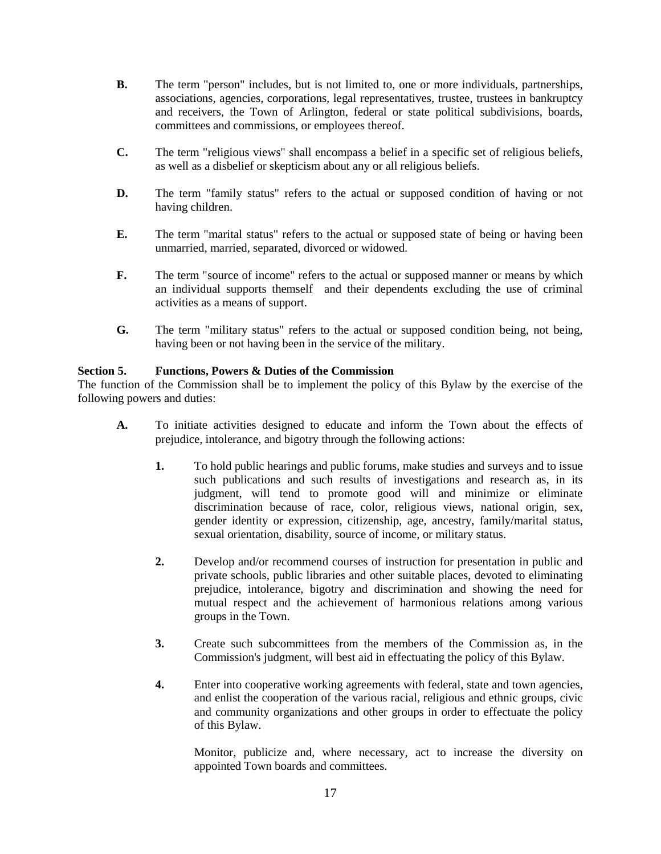- **B.** The term "person" includes, but is not limited to, one or more individuals, partnerships, associations, agencies, corporations, legal representatives, trustee, trustees in bankruptcy and receivers, the Town of Arlington, federal or state political subdivisions, boards, committees and commissions, or employees thereof.
- **C.** The term "religious views" shall encompass a belief in a specific set of religious beliefs, as well as a disbelief or skepticism about any or all religious beliefs.
- **D.** The term "family status" refers to the actual or supposed condition of having or not having children.
- **E.** The term "marital status" refers to the actual or supposed state of being or having been unmarried, married, separated, divorced or widowed.
- **F.** The term "source of income" refers to the actual or supposed manner or means by which an individual supports themself and their dependents excluding the use of criminal activities as a means of support.
- **G.** The term "military status" refers to the actual or supposed condition being, not being, having been or not having been in the service of the military.

### **Section 5. Functions, Powers & Duties of the Commission**

The function of the Commission shall be to implement the policy of this Bylaw by the exercise of the following powers and duties:

- **A.** To initiate activities designed to educate and inform the Town about the effects of prejudice, intolerance, and bigotry through the following actions:
	- **1.** To hold public hearings and public forums, make studies and surveys and to issue such publications and such results of investigations and research as, in its judgment, will tend to promote good will and minimize or eliminate discrimination because of race, color, religious views, national origin, sex, gender identity or expression, citizenship, age, ancestry, family/marital status, sexual orientation, disability, source of income, or military status.
	- **2.** Develop and/or recommend courses of instruction for presentation in public and private schools, public libraries and other suitable places, devoted to eliminating prejudice, intolerance, bigotry and discrimination and showing the need for mutual respect and the achievement of harmonious relations among various groups in the Town.
	- **3.** Create such subcommittees from the members of the Commission as, in the Commission's judgment, will best aid in effectuating the policy of this Bylaw.
	- **4.** Enter into cooperative working agreements with federal, state and town agencies, and enlist the cooperation of the various racial, religious and ethnic groups, civic and community organizations and other groups in order to effectuate the policy of this Bylaw.

Monitor, publicize and, where necessary, act to increase the diversity on appointed Town boards and committees.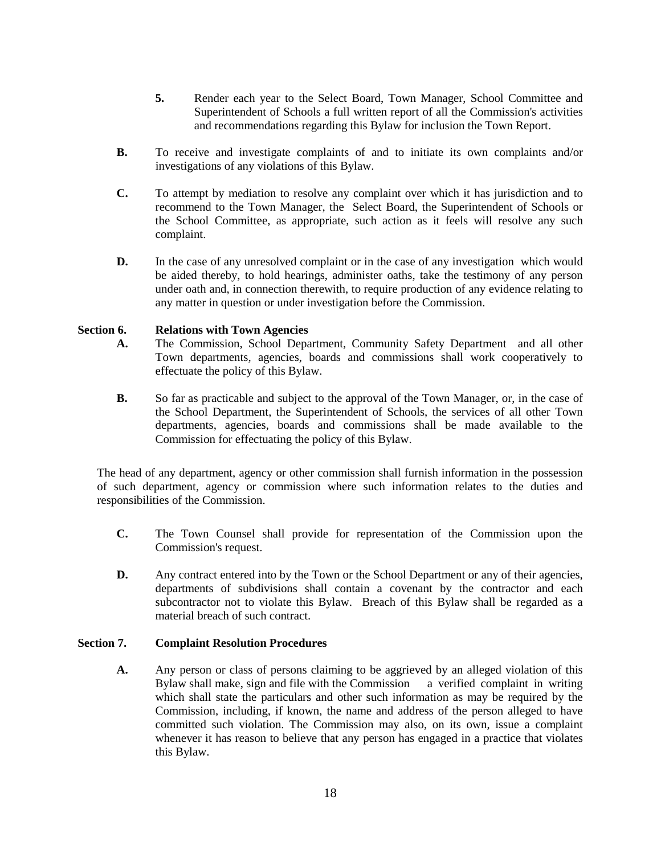- **5.** Render each year to the Select Board, Town Manager, School Committee and Superintendent of Schools a full written report of all the Commission's activities and recommendations regarding this Bylaw for inclusion the Town Report.
- **B.** To receive and investigate complaints of and to initiate its own complaints and/or investigations of any violations of this Bylaw.
- **C.** To attempt by mediation to resolve any complaint over which it has jurisdiction and to recommend to the Town Manager, the Select Board, the Superintendent of Schools or the School Committee, as appropriate, such action as it feels will resolve any such complaint.
- **D.** In the case of any unresolved complaint or in the case of any investigation which would be aided thereby, to hold hearings, administer oaths, take the testimony of any person under oath and, in connection therewith, to require production of any evidence relating to any matter in question or under investigation before the Commission.

### **Section 6. Relations with Town Agencies**

- **A.** The Commission, School Department, Community Safety Department and all other Town departments, agencies, boards and commissions shall work cooperatively to effectuate the policy of this Bylaw.
- **B.** So far as practicable and subject to the approval of the Town Manager, or, in the case of the School Department, the Superintendent of Schools, the services of all other Town departments, agencies, boards and commissions shall be made available to the Commission for effectuating the policy of this Bylaw.

The head of any department, agency or other commission shall furnish information in the possession of such department, agency or commission where such information relates to the duties and responsibilities of the Commission.

- **C.** The Town Counsel shall provide for representation of the Commission upon the Commission's request.
- **D.** Any contract entered into by the Town or the School Department or any of their agencies, departments of subdivisions shall contain a covenant by the contractor and each subcontractor not to violate this Bylaw. Breach of this Bylaw shall be regarded as a material breach of such contract.

### **Section 7. Complaint Resolution Procedures**

**A.** Any person or class of persons claiming to be aggrieved by an alleged violation of this Bylaw shall make, sign and file with the Commission a verified complaint in writing which shall state the particulars and other such information as may be required by the Commission, including, if known, the name and address of the person alleged to have committed such violation. The Commission may also, on its own, issue a complaint whenever it has reason to believe that any person has engaged in a practice that violates this Bylaw.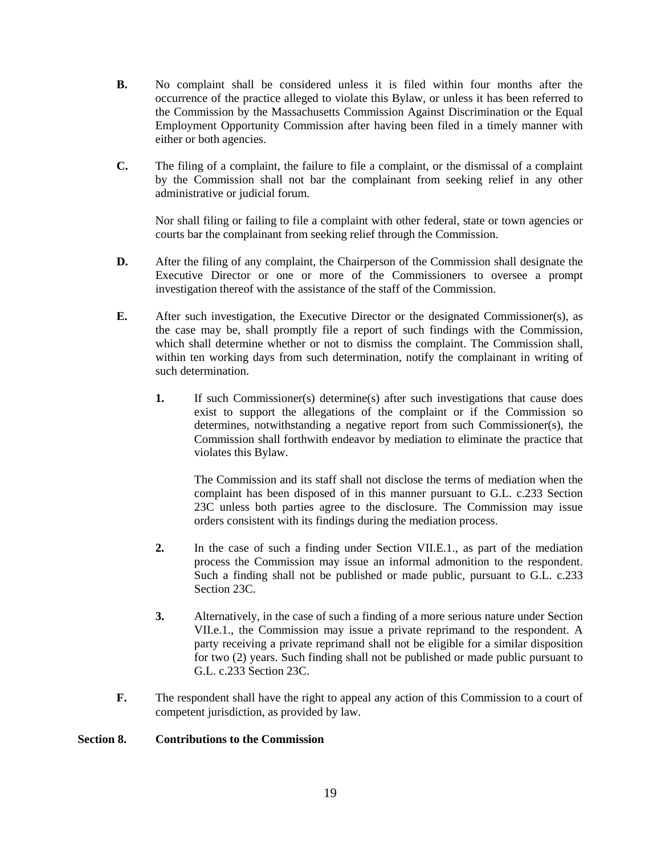- **B.** No complaint shall be considered unless it is filed within four months after the occurrence of the practice alleged to violate this Bylaw, or unless it has been referred to the Commission by the Massachusetts Commission Against Discrimination or the Equal Employment Opportunity Commission after having been filed in a timely manner with either or both agencies.
- **C.** The filing of a complaint, the failure to file a complaint, or the dismissal of a complaint by the Commission shall not bar the complainant from seeking relief in any other administrative or judicial forum.

Nor shall filing or failing to file a complaint with other federal, state or town agencies or courts bar the complainant from seeking relief through the Commission.

- **D.** After the filing of any complaint, the Chairperson of the Commission shall designate the Executive Director or one or more of the Commissioners to oversee a prompt investigation thereof with the assistance of the staff of the Commission.
- **E.** After such investigation, the Executive Director or the designated Commissioner(s), as the case may be, shall promptly file a report of such findings with the Commission, which shall determine whether or not to dismiss the complaint. The Commission shall, within ten working days from such determination, notify the complainant in writing of such determination.
	- **1.** If such Commissioner(s) determine(s) after such investigations that cause does exist to support the allegations of the complaint or if the Commission so determines, notwithstanding a negative report from such Commissioner(s), the Commission shall forthwith endeavor by mediation to eliminate the practice that violates this Bylaw.

The Commission and its staff shall not disclose the terms of mediation when the complaint has been disposed of in this manner pursuant to G.L. c.233 Section 23C unless both parties agree to the disclosure. The Commission may issue orders consistent with its findings during the mediation process.

- **2.** In the case of such a finding under Section VII.E.1., as part of the mediation process the Commission may issue an informal admonition to the respondent. Such a finding shall not be published or made public, pursuant to G.L. c.233 Section 23C.
- **3.** Alternatively, in the case of such a finding of a more serious nature under Section VII.e.1., the Commission may issue a private reprimand to the respondent. A party receiving a private reprimand shall not be eligible for a similar disposition for two (2) years. Such finding shall not be published or made public pursuant to G.L. c.233 Section 23C.
- **F.** The respondent shall have the right to appeal any action of this Commission to a court of competent jurisdiction, as provided by law.

### **Section 8. Contributions to the Commission**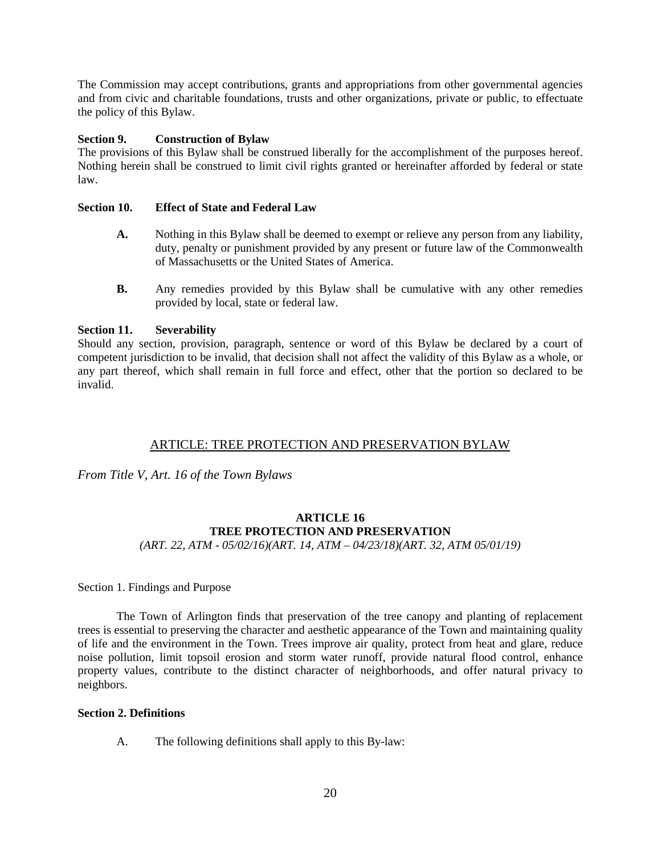The Commission may accept contributions, grants and appropriations from other governmental agencies and from civic and charitable foundations, trusts and other organizations, private or public, to effectuate the policy of this Bylaw.

### **Section 9. Construction of Bylaw**

The provisions of this Bylaw shall be construed liberally for the accomplishment of the purposes hereof. Nothing herein shall be construed to limit civil rights granted or hereinafter afforded by federal or state law.

### **Section 10. Effect of State and Federal Law**

- **A.** Nothing in this Bylaw shall be deemed to exempt or relieve any person from any liability, duty, penalty or punishment provided by any present or future law of the Commonwealth of Massachusetts or the United States of America.
- **B.** Any remedies provided by this Bylaw shall be cumulative with any other remedies provided by local, state or federal law.

### **Section 11. Severability**

Should any section, provision, paragraph, sentence or word of this Bylaw be declared by a court of competent jurisdiction to be invalid, that decision shall not affect the validity of this Bylaw as a whole, or any part thereof, which shall remain in full force and effect, other that the portion so declared to be invalid.

### ARTICLE: TREE PROTECTION AND PRESERVATION BYLAW

*From Title V, Art. 16 of the Town Bylaws*

# **ARTICLE 16 TREE PROTECTION AND PRESERVATION**

*(ART. 22, ATM - 05/02/16)(ART. 14, ATM – 04/23/18)(ART. 32, ATM 05/01/19)*

Section 1. Findings and Purpose

The Town of Arlington finds that preservation of the tree canopy and planting of replacement trees is essential to preserving the character and aesthetic appearance of the Town and maintaining quality of life and the environment in the Town. Trees improve air quality, protect from heat and glare, reduce noise pollution, limit topsoil erosion and storm water runoff, provide natural flood control, enhance property values, contribute to the distinct character of neighborhoods, and offer natural privacy to neighbors.

### **Section 2. Definitions**

A. The following definitions shall apply to this By-law: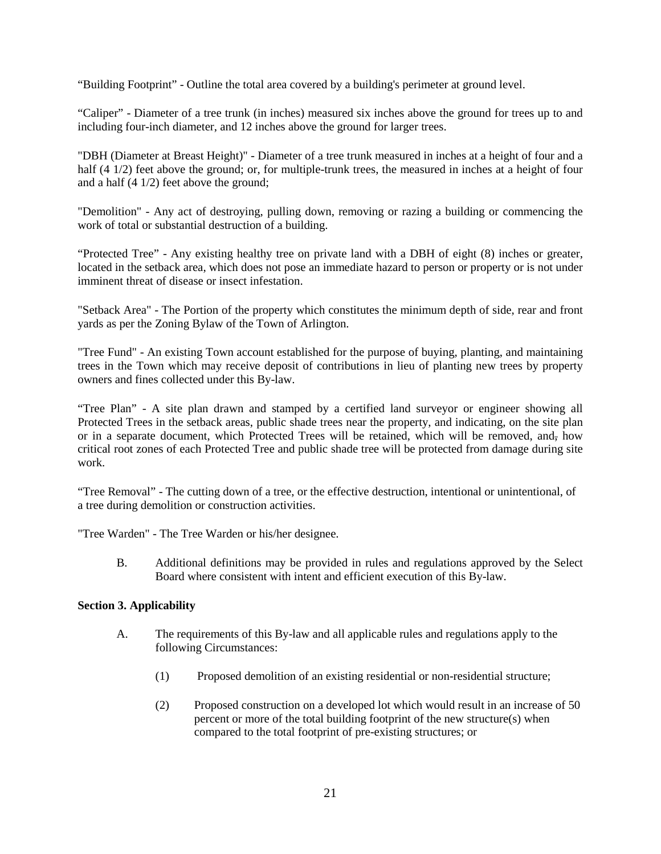"Building Footprint" - Outline the total area covered by a building's perimeter at ground level.

"Caliper" - Diameter of a tree trunk (in inches) measured six inches above the ground for trees up to and including four-inch diameter, and 12 inches above the ground for larger trees.

"DBH (Diameter at Breast Height)" - Diameter of a tree trunk measured in inches at a height of four and a half (4 1/2) feet above the ground; or, for multiple-trunk trees, the measured in inches at a height of four and a half (4 1/2) feet above the ground;

"Demolition" - Any act of destroying, pulling down, removing or razing a building or commencing the work of total or substantial destruction of a building.

"Protected Tree" - Any existing healthy tree on private land with a DBH of eight (8) inches or greater, located in the setback area, which does not pose an immediate hazard to person or property or is not under imminent threat of disease or insect infestation.

"Setback Area" - The Portion of the property which constitutes the minimum depth of side, rear and front yards as per the Zoning Bylaw of the Town of Arlington.

"Tree Fund" - An existing Town account established for the purpose of buying, planting, and maintaining trees in the Town which may receive deposit of contributions in lieu of planting new trees by property owners and fines collected under this By-law.

"Tree Plan" - A site plan drawn and stamped by a certified land surveyor or engineer showing all Protected Trees in the setback areas, public shade trees near the property, and indicating, on the site plan or in a separate document, which Protected Trees will be retained, which will be removed, and, how critical root zones of each Protected Tree and public shade tree will be protected from damage during site work.

"Tree Removal" - The cutting down of a tree, or the effective destruction, intentional or unintentional, of a tree during demolition or construction activities.

"Tree Warden" - The Tree Warden or his/her designee.

B. Additional definitions may be provided in rules and regulations approved by the Select Board where consistent with intent and efficient execution of this By-law.

### **Section 3. Applicability**

- A. The requirements of this By-law and all applicable rules and regulations apply to the following Circumstances:
	- (1) Proposed demolition of an existing residential or non-residential structure;
	- (2) Proposed construction on a developed lot which would result in an increase of 50 percent or more of the total building footprint of the new structure(s) when compared to the total footprint of pre-existing structures; or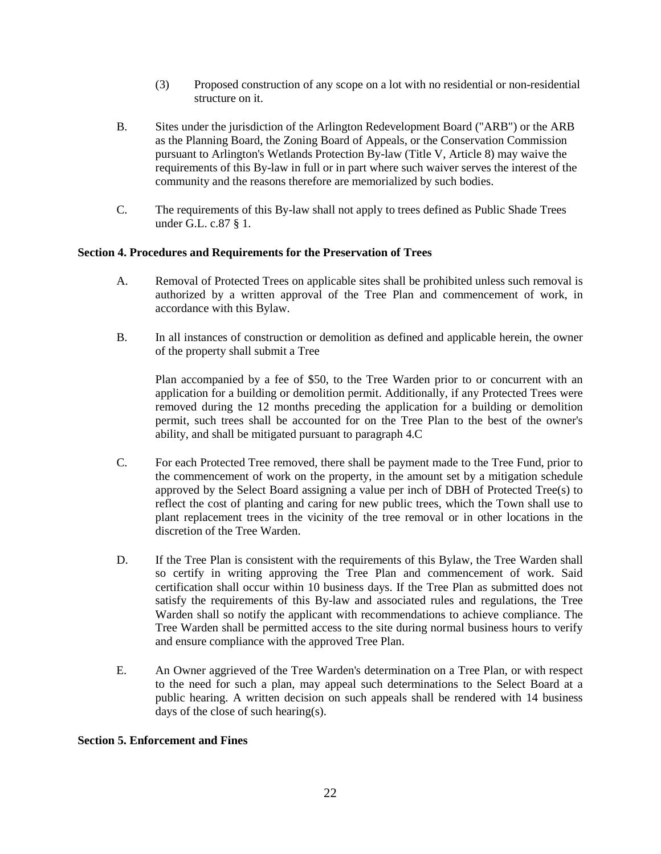- (3) Proposed construction of any scope on a lot with no residential or non-residential structure on it.
- B. Sites under the jurisdiction of the Arlington Redevelopment Board ("ARB") or the ARB as the Planning Board, the Zoning Board of Appeals, or the Conservation Commission pursuant to Arlington's Wetlands Protection By-law (Title V, Article 8) may waive the requirements of this By-law in full or in part where such waiver serves the interest of the community and the reasons therefore are memorialized by such bodies.
- C. The requirements of this By-law shall not apply to trees defined as Public Shade Trees under G.L. c.87 § 1.

#### **Section 4. Procedures and Requirements for the Preservation of Trees**

- A. Removal of Protected Trees on applicable sites shall be prohibited unless such removal is authorized by a written approval of the Tree Plan and commencement of work, in accordance with this Bylaw.
- B. In all instances of construction or demolition as defined and applicable herein, the owner of the property shall submit a Tree

Plan accompanied by a fee of \$50, to the Tree Warden prior to or concurrent with an application for a building or demolition permit. Additionally, if any Protected Trees were removed during the 12 months preceding the application for a building or demolition permit, such trees shall be accounted for on the Tree Plan to the best of the owner's ability, and shall be mitigated pursuant to paragraph 4.C

- C. For each Protected Tree removed, there shall be payment made to the Tree Fund, prior to the commencement of work on the property, in the amount set by a mitigation schedule approved by the Select Board assigning a value per inch of DBH of Protected Tree(s) to reflect the cost of planting and caring for new public trees, which the Town shall use to plant replacement trees in the vicinity of the tree removal or in other locations in the discretion of the Tree Warden.
- D. If the Tree Plan is consistent with the requirements of this Bylaw, the Tree Warden shall so certify in writing approving the Tree Plan and commencement of work. Said certification shall occur within 10 business days. If the Tree Plan as submitted does not satisfy the requirements of this By-law and associated rules and regulations, the Tree Warden shall so notify the applicant with recommendations to achieve compliance. The Tree Warden shall be permitted access to the site during normal business hours to verify and ensure compliance with the approved Tree Plan.
- E. An Owner aggrieved of the Tree Warden's determination on a Tree Plan, or with respect to the need for such a plan, may appeal such determinations to the Select Board at a public hearing. A written decision on such appeals shall be rendered with 14 business days of the close of such hearing(s).

#### **Section 5. Enforcement and Fines**